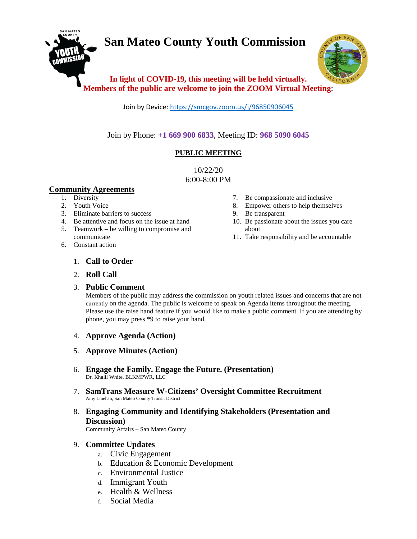# **San Mateo County Youth Commission**



## **In light of COVID-19, this meeting will be held virtually. Members of the public are welcome to join the ZOOM Virtual Meeting**:

Join by Device[: https://smcgov.zoom.us/j/96850906045](https://smcgov.zoom.us/j/96850906045)

Join by Phone: **+1 669 900 6833**, Meeting ID: **968 5090 6045**

## **PUBLIC MEETING**

10/22/20 6:00-8:00 PM

## **Community Agreements**

- 1. Diversity
- 2. Youth Voice
- 3. Eliminate barriers to success
- 4. Be attentive and focus on the issue at hand
- 5. Teamwork be willing to compromise and communicate
- 6. Constant action
- 7. Be compassionate and inclusive
- 8. Empower others to help themselves
- 9. Be transparent
- 10. Be passionate about the issues you care about
- 11. Take responsibility and be accountable

## 1. **Call to Order**

## 2. **Roll Call**

## 3. **Public Comment**

Members of the public may address the commission on youth related issues and concerns that are not currently on the agenda. The public is welcome to speak on Agenda items throughout the meeting. Please use the raise hand feature if you would like to make a public comment. If you are attending by phone, you may press \*9 to raise your hand.

- 4. **Approve Agenda (Action)**
- 5. **Approve Minutes (Action)**
- 6. **Engage the Family. Engage the Future. (Presentation)** Dr. Khalil White, BLKMPWR, LLC
- 7. **SamTrans Measure W-Citizens' Oversight Committee Recruitment** Amy Linehan, San Mateo County Transit District
- 8. **Engaging Community and Identifying Stakeholders (Presentation and Discussion)**

Community Affairs – San Mateo County

## 9. **Committee Updates**

- a. Civic Engagement
- b. Education & Economic Development
- c. Environmental Justice
- d. Immigrant Youth
- e. Health & Wellness
- f. Social Media